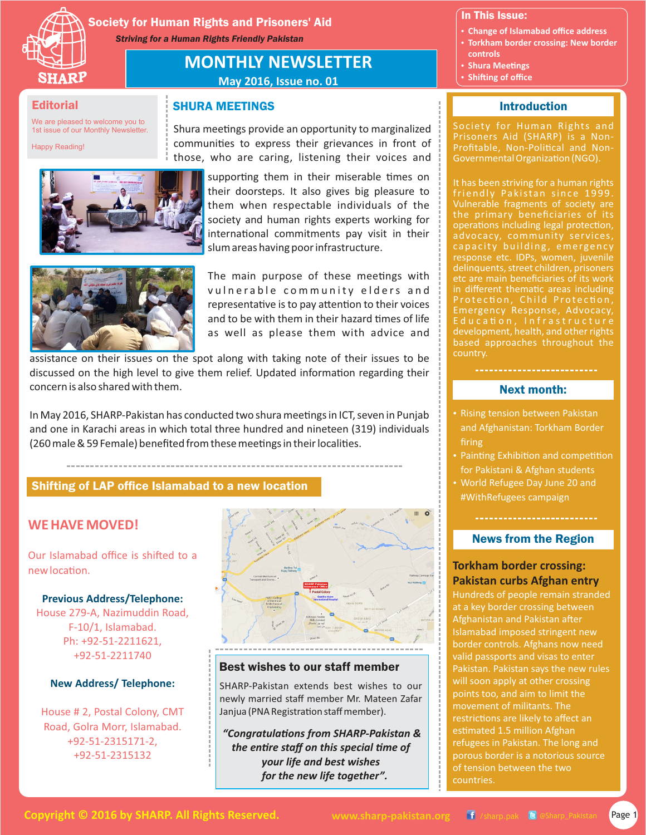

Society for Human Rights and Prisoners' Aid *Striving for a Human Rights Friendly Pakistan*

SHURA MEETINGS

# **MONTHLY NEWSLETTER May 2016, Issue no. 01**

#### **Editorial**

We are pleased to welcome you to 1st issue of our Monthly Newsletter.

Happy Reading!



their doorsteps. It also gives big pleasure to them when respectable individuals of the society and human rights experts working for international commitments pay visit in their slum areas having poor infrastructure.

supporting them in their miserable times on

Shura meetings provide an opportunity to marginalized communities to express their grievances in front of those, who are caring, listening their voices and



The main purpose of these meetings with vulnerable community elders and representative is to pay attention to their voices and to be with them in their hazard times of life as well as please them with advice and

assistance on their issues on the spot along with taking note of their issues to be discussed on the high level to give them relief. Updated information regarding their concern is also shared with them.

In May 2016, SHARP-Pakistan has conducted two shura meetings in ICT, seven in Punjab and one in Karachi areas in which total three hundred and nineteen (319) individuals (260 male & 59 Female) benefited from these meetings in their localities.

## Shifting of LAP office Islamabad to a new location

## **WE HAVE MOVED!**

Our Islamabad office is shifted to a new location.

**Previous Address/Telephone:** House 279-A, Nazimuddin Road, F-10/1, Islamabad. Ph: +92-51-2211621, +92-51-2211740

#### **New Address/ Telephone:**

House # 2, Postal Colony, CMT Road, Golra Morr, Islamabad. +92-51-2315171-2, +92-51-2315132



#### Best wishes to our staff member

SHARP-Pakistan extends best wishes to our newly married staff member Mr. Mateen Zafar Janjua (PNA Registration staff member).

*"Congratulaons from SHARP-Pakistan &*  the entire staff on this special time of *your life and best wishes for the new life together".*

In This Issue:

- **Change of Islamabad office address**
- **Torkham border crossing: New border controls**
- **Shura Meetings**
- **Shifting of office**

#### **Introduction**

Society for Human Rights and Prisoners Aid (SHARP) is a Non-Profitable, Non-Political and Non-Governmental Organization (NGO).

It has been striving for a human rights friendly Pakistan since 1999. Vulnerable fragments of society are the primary beneficiaries of its operations including legal protection, advocacy, community services, capacity building, emergency response etc. IDPs, women, juvenile delinquents, street children, prisoners etc are main beneficiaries of its work in different thematic areas including Protection, Child Protection, Emergency Response, Advocacy, development, health, and other rights based approaches throughout the country.

#### Next month:

- Rising tension between Pakistan and Afghanistan: Torkham Border firing
- Painting Exhibition and competition for Pakistani & Afghan students
- World Refugee Day June 20 and #WithRefugees campaign

## News from the Region

## **Torkham border crossing: Pakistan curbs Afghan entry**

Hundreds of people remain stranded at a key border crossing between Afghanistan and Pakistan after Islamabad imposed stringent new border controls. Afghans now need valid passports and visas to enter Pakistan. Pakistan says the new rules will soon apply at other crossing points too, and aim to limit the restrictions are likely to affect an estimated 1.5 million Afghan refugees in Pakistan. The long and porous border is a notorious source of tension between the two countries.